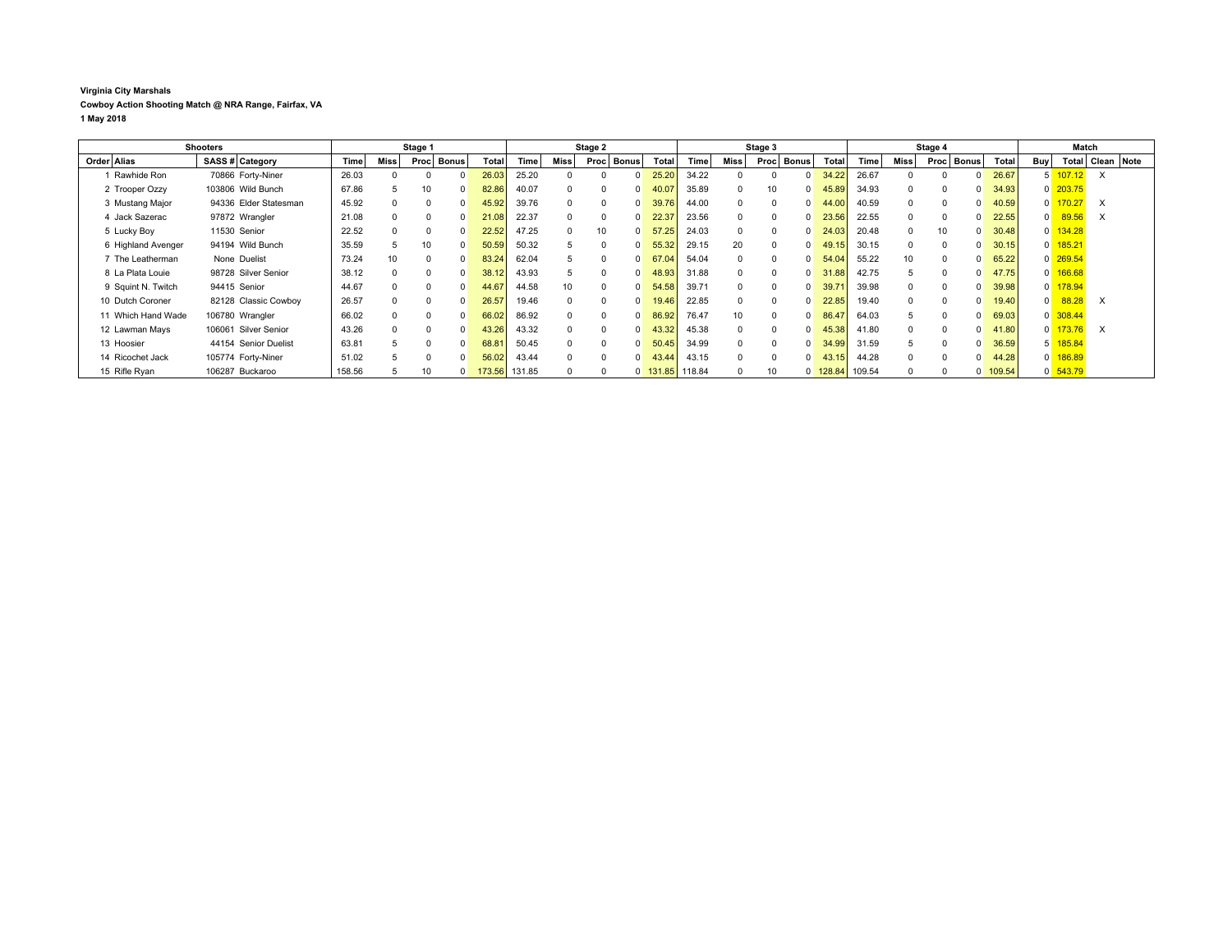## **Virginia City Marshals Cowboy Action Shooting Match @ NRA Range, Fairfax, VA 1 May 2018**

| <b>Shooters</b>    |                       | Stage 1 |      |                       |  | Stage 2 |        |          |       | Stage 3      |            |        |                 | Stage 4              |  |                        |                 | Match |          |       |        |                |            |          |                  |
|--------------------|-----------------------|---------|------|-----------------------|--|---------|--------|----------|-------|--------------|------------|--------|-----------------|----------------------|--|------------------------|-----------------|-------|----------|-------|--------|----------------|------------|----------|------------------|
| Order Alias        | SASS # Category       | Time    | Miss | <b>Bonus</b><br>Proc' |  | Total   | Time   | Miss     | Procl | <b>Bonus</b> | Total      | Time   | <b>Miss</b>     | Proc<br><b>Bonus</b> |  | Total                  | Time            | Miss  | Proc     | Bonus | Total  | Buy            |            |          | Total Clean Note |
| 1 Rawhide Ron      | 70866 Forty-Niner     | 26.03   |      |                       |  | 26.03   | 25.20  |          |       |              | 25.20      | 34.22  |                 |                      |  | 34.22                  | 26.67           |       |          |       | 26.67  | 5              | 107.12     | $\times$ |                  |
| 2 Trooper Ozzy     | 103806 Wild Bunch     | 67.86   |      | 10                    |  | 82.86   | 40.07  |          |       |              | 40.07      | 35.89  |                 | 10                   |  | 45.89                  | 34.93           |       | $\Omega$ |       | 34.93  |                | $0$ 203.75 |          |                  |
| 3 Mustang Major    | 94336 Elder Statesman | 45.92   |      | $^{\circ}$            |  | 45.92   | 39.76  | $\Omega$ |       |              | 39.76      | 44.00  |                 | $\Omega$             |  | 44.00                  | 40.59           |       | $\Omega$ |       | 40.59  | 0              | 170.27     | $\times$ |                  |
| 4 Jack Sazerac     | 97872 Wrangler        | 21.08   |      | $\Omega$              |  | 21.08   | 22.37  | $\Omega$ |       |              | 22.37      | 23.56  |                 | $\Omega$             |  | 23.56                  | 22.55           |       | $\Omega$ |       | 22.55  | 0              | 89.56      | $\times$ |                  |
| 5 Lucky Boy        | 11530 Senior          | 22.52   |      | $\Omega$              |  | 22.52   | 47.25  | $\Omega$ | 10    |              | 57.25      | 24.03  |                 |                      |  | 24.03                  | 20.48           | 0     | 10       |       | 30.48  | $\mathbf{0}$   | 134.28     |          |                  |
| 6 Highland Avenger | 94194 Wild Bunch      | 35.59   |      | 10                    |  | 50.59   | 50.32  |          |       |              | 55.32      | 29.15  | 20              |                      |  | 49.15                  | 30.15           |       | $\Omega$ |       | 30.15  | $\overline{0}$ | 185.21     |          |                  |
| 7 The Leatherman   | None Duelist          | 73.24   | 10   | $\Omega$              |  | 83.24   | 62.04  |          |       |              | 67.04      | 54.04  |                 |                      |  | 54.04                  | 55.22           | 10    | $\Omega$ |       | 65.22  |                | $0$ 269.54 |          |                  |
| 8 La Plata Louie   | 98728 Silver Senior   | 38.12   |      | 0                     |  | 38.12   | 43.93  |          |       |              | 48.93      | 31.88  |                 |                      |  | 31<br>.88 <sub>1</sub> | 42.75           |       | $\Omega$ |       | 47.75  | $\mathbf{0}$   | 166.68     |          |                  |
| 9 Squint N. Twitch | 94415 Senior          | 44.67   |      | $^{\circ}$            |  | 44.67   | 44.58  | 10       |       |              | 54.58      | 39.71  |                 | $\Omega$             |  | 39.71                  | 39.98           |       | $\Omega$ |       | 39.98  | $\overline{0}$ | 178.94     |          |                  |
| 10 Dutch Coroner   | 82128 Classic Cowboy  | 26.57   |      | $\Omega$              |  | 26.57   | 19.46  | $\Omega$ |       |              | 19.46      | 22.85  |                 | $\Omega$             |  | 22.85                  | 19.40           |       | $\Omega$ |       | 19.40  | $\Omega$       | 88.28      | $\times$ |                  |
| 11 Which Hand Wade | 106780 Wrangler       | 66.02   |      |                       |  | 66.02   | 86.92  | $\Omega$ |       |              | 86.92      | 76.47  | 10 <sup>1</sup> | $\Omega$             |  | 86.47                  | 64.03           |       |          |       | 69.03  |                | $0$ 308.44 |          |                  |
| 12 Lawman Mays     | 106061 Silver Senior  | 43.26   |      | $\Omega$              |  | 43.26   | 43.32  | $\Omega$ |       |              | 43.32      | 45.38  |                 |                      |  | 45.38                  | 41.80           |       | $\Omega$ |       | 41.80  | $\Omega$       | 173.76     | $\times$ |                  |
| 13 Hoosier         | 44154 Senior Duelist  | 63.81   |      |                       |  | 68.8    | 50.45  |          |       |              | 50.45      | 34.99  |                 |                      |  | 34.99                  | 31.59           |       |          |       | 36.59  | 5              | 185.84     |          |                  |
| 14 Ricochet Jack   | 105774 Forty-Niner    | 51.02   | 5    | $\Omega$              |  | 56.02   | 43.44  | $\Omega$ |       |              | 43.44      | 43.15  |                 |                      |  | 43.15                  | 44.28           |       | $\Omega$ |       | 44.28  | $\overline{0}$ | 186.89     |          |                  |
| 15 Rifle Ryan      | 106287 Buckaroo       | 158.56  |      | 10                    |  | 173.56  | 131.85 |          |       |              | $0$ 131.85 | 118.84 |                 | 10                   |  |                        | 0 128.84 109.54 |       | $\Omega$ |       | 109.54 |                | $0$ 543.79 |          |                  |